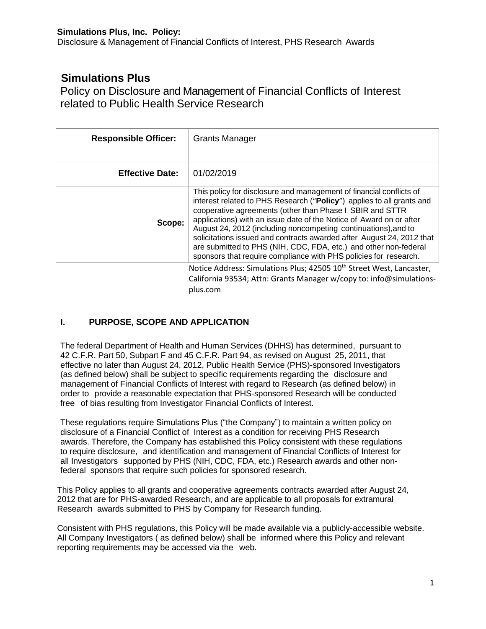Disclosure & Management of Financial Conflicts of Interest, PHS Research Awards

# **Simulations Plus**

Policy on Disclosure and Management of Financial Conflicts of Interest related to Public Health Service Research

| <b>Responsible Officer:</b> | <b>Grants Manager</b>                                                                                                                                                                                                                                                                                                                                                                                                                                                                                                                                              |
|-----------------------------|--------------------------------------------------------------------------------------------------------------------------------------------------------------------------------------------------------------------------------------------------------------------------------------------------------------------------------------------------------------------------------------------------------------------------------------------------------------------------------------------------------------------------------------------------------------------|
| <b>Effective Date:</b>      | 01/02/2019                                                                                                                                                                                                                                                                                                                                                                                                                                                                                                                                                         |
| Scope:                      | This policy for disclosure and management of financial conflicts of<br>interest related to PHS Research ("Policy") applies to all grants and<br>cooperative agreements (other than Phase I SBIR and STTR<br>applications) with an issue date of the Notice of Award on or after<br>August 24, 2012 (including noncompeting continuations), and to<br>solicitations issued and contracts awarded after August 24, 2012 that<br>are submitted to PHS (NIH, CDC, FDA, etc.) and other non-federal<br>sponsors that require compliance with PHS policies for research. |
|                             | Notice Address: Simulations Plus; 42505 10 <sup>th</sup> Street West, Lancaster,<br>California 93534; Attn: Grants Manager w/copy to: info@simulations-<br>plus.com                                                                                                                                                                                                                                                                                                                                                                                                |

# **I. PURPOSE, SCOPE AND APPLICATION**

The federal Department of Health and Human Services (DHHS) has determined, pursuant to 42 C.F.R. Part 50, Subpart F and 45 C.F.R. Part 94, as revised on August 25, 2011, that effective no later than August 24, 2012, Public Health Service (PHS)-sponsored Investigators (as defined below) shall be subject to specific requirements regarding the disclosure and management of Financial Conflicts of Interest with regard to Research (as defined below) in order to provide a reasonable expectation that PHS-sponsored Research will be conducted free of bias resulting from Investigator Financial Conflicts of Interest.

These regulations require Simulations Plus ("the Company") to maintain a written policy on disclosure of a Financial Conflict of Interest as a condition for receiving PHS Research awards. Therefore, the Company has established this Policy consistent with these regulations to require disclosure, and identification and management of Financial Conflicts of Interest for all Investigators supported by PHS (NIH, CDC, FDA, etc.) Research awards and other nonfederal sponsors that require such policies for sponsored research.

This Policy applies to all grants and cooperative agreements contracts awarded after August 24, 2012 that are for PHS-awarded Research, and are applicable to all proposals for extramural Research awards submitted to PHS by Company for Research funding.

Consistent with PHS regulations, this Policy will be made available via a publicly-accessible website. All Company Investigators ( as defined below) shall be informed where this Policy and relevant reporting requirements may be accessed via the web.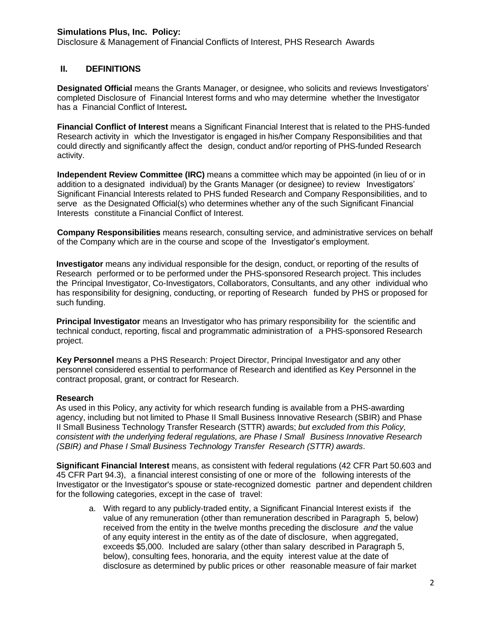Disclosure & Management of Financial Conflicts of Interest, PHS Research Awards

### **II. DEFINITIONS**

**Designated Official** means the Grants Manager, or designee, who solicits and reviews Investigators' completed Disclosure of Financial Interest forms and who may determine whether the Investigator has a Financial Conflict of Interest**.**

**Financial Conflict of Interest** means a Significant Financial Interest that is related to the PHS-funded Research activity in which the Investigator is engaged in his/her Company Responsibilities and that could directly and significantly affect the design, conduct and/or reporting of PHS-funded Research activity.

**Independent Review Committee (IRC)** means a committee which may be appointed (in lieu of or in addition to a designated individual) by the Grants Manager (or designee) to review Investigators' Significant Financial Interests related to PHS funded Research and Company Responsibilities, and to serve as the Designated Official(s) who determines whether any of the such Significant Financial Interests constitute a Financial Conflict of Interest.

**Company Responsibilities** means research, consulting service, and administrative services on behalf of the Company which are in the course and scope of the Investigator's employment.

**Investigator** means any individual responsible for the design, conduct, or reporting of the results of Research performed or to be performed under the PHS-sponsored Research project. This includes the Principal Investigator, Co-Investigators, Collaborators, Consultants, and any other individual who has responsibility for designing, conducting, or reporting of Research funded by PHS or proposed for such funding.

**Principal Investigator** means an Investigator who has primary responsibility for the scientific and technical conduct, reporting, fiscal and programmatic administration of a PHS-sponsored Research project.

**Key Personnel** means a PHS Research: Project Director, Principal Investigator and any other personnel considered essential to performance of Research and identified as Key Personnel in the contract proposal, grant, or contract for Research.

#### **Research**

As used in this Policy, any activity for which research funding is available from a PHS-awarding agency, including but not limited to Phase II Small Business Innovative Research (SBIR) and Phase II Small Business Technology Transfer Research (STTR) awards; *but excluded from this Policy, consistent with the underlying federal regulations, are Phase I Small Business Innovative Research (SBIR) and Phase I Small Business Technology Transfer Research (STTR) awards*.

**Significant Financial Interest** means, as consistent with federal regulations (42 CFR Part 50.603 and 45 CFR Part 94.3), a financial interest consisting of one or more of the following interests of the Investigator or the Investigator's spouse or state-recognized domestic partner and dependent children for the following categories, except in the case of travel:

a. With regard to any publicly-traded entity, a Significant Financial Interest exists if the value of any remuneration (other than remuneration described in Paragraph 5, below) received from the entity in the twelve months preceding the disclosure *and* the value of any equity interest in the entity as of the date of disclosure, when aggregated, exceeds \$5,000. Included are salary (other than salary described in Paragraph 5, below), consulting fees, honoraria, and the equity interest value at the date of disclosure as determined by public prices or other reasonable measure of fair market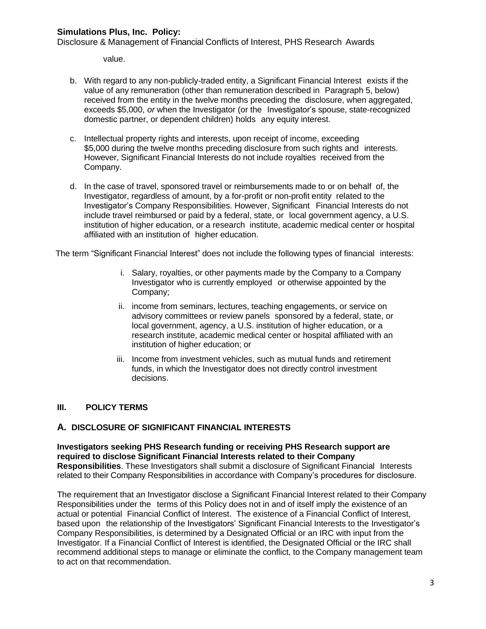Disclosure & Management of Financial Conflicts of Interest, PHS Research Awards

value.

- b. With regard to any non-publicly-traded entity, a Significant Financial Interest exists if the value of any remuneration (other than remuneration described in Paragraph 5, below) received from the entity in the twelve months preceding the disclosure, when aggregated, exceeds \$5,000, *or* when the Investigator (or the Investigator's spouse, state-recognized domestic partner, or dependent children) holds any equity interest.
- c. Intellectual property rights and interests, upon receipt of income, exceeding \$5,000 during the twelve months preceding disclosure from such rights and interests. However, Significant Financial Interests do not include royalties received from the Company.
- d. In the case of travel, sponsored travel or reimbursements made to or on behalf of, the Investigator, regardless of amount, by a for-profit or non-profit entity related to the Investigator's Company Responsibilities. However, Significant Financial Interests do not include travel reimbursed or paid by a federal, state, or local government agency, a U.S. institution of higher education, or a research institute, academic medical center or hospital affiliated with an institution of higher education.

The term "Significant Financial Interest" does not include the following types of financial interests:

- i. Salary, royalties, or other payments made by the Company to a Company Investigator who is currently employed or otherwise appointed by the Company;
- ii. income from seminars, lectures, teaching engagements, or service on advisory committees or review panels sponsored by a federal, state, or local government, agency, a U.S. institution of higher education, or a research institute, academic medical center or hospital affiliated with an institution of higher education; or
- iii. Income from investment vehicles, such as mutual funds and retirement funds, in which the Investigator does not directly control investment decisions.

#### **III. POLICY TERMS**

#### **A. DISCLOSURE OF SIGNIFICANT FINANCIAL INTERESTS**

**Investigators seeking PHS Research funding or receiving PHS Research support are required to disclose Significant Financial Interests related to their Company Responsibilities**. These Investigators shall submit a disclosure of Significant Financial Interests related to their Company Responsibilities in accordance with Company's procedures for disclosure.

The requirement that an Investigator disclose a Significant Financial Interest related to their Company Responsibilities under the terms of this Policy does not in and of itself imply the existence of an actual or potential Financial Conflict of Interest. The existence of a Financial Conflict of Interest, based upon the relationship of the Investigators' Significant Financial Interests to the Investigator's Company Responsibilities, is determined by a Designated Official or an IRC with input from the Investigator. If a Financial Conflict of Interest is identified, the Designated Official or the IRC shall recommend additional steps to manage or eliminate the conflict, to the Company management team to act on that recommendation.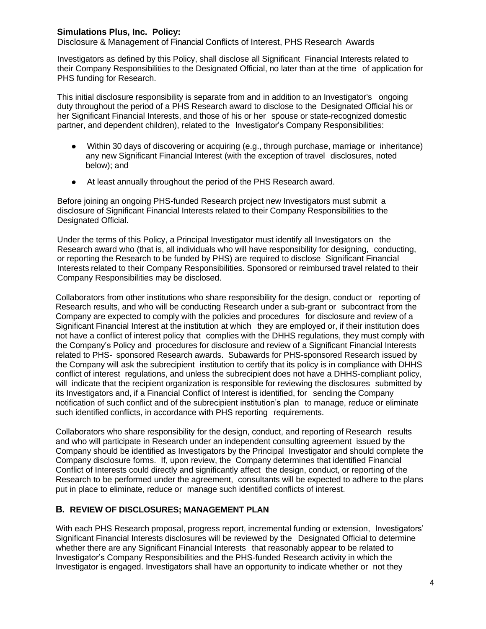Disclosure & Management of Financial Conflicts of Interest, PHS Research Awards

Investigators as defined by this Policy, shall disclose all Significant Financial Interests related to their Company Responsibilities to the Designated Official, no later than at the time of application for PHS funding for Research.

This initial disclosure responsibility is separate from and in addition to an Investigator's ongoing duty throughout the period of a PHS Research award to disclose to the Designated Official his or her Significant Financial Interests, and those of his or her spouse or state-recognized domestic partner, and dependent children), related to the Investigator's Company Responsibilities:

- Within 30 days of discovering or acquiring (e.g., through purchase, marriage or inheritance) any new Significant Financial Interest (with the exception of travel disclosures, noted below); and
- $\bullet$ At least annually throughout the period of the PHS Research award.

Before joining an ongoing PHS-funded Research project new Investigators must submit a disclosure of Significant Financial Interests related to their Company Responsibilities to the Designated Official.

Under the terms of this Policy, a Principal Investigator must identify all Investigators on the Research award who (that is, all individuals who will have responsibility for designing, conducting, or reporting the Research to be funded by PHS) are required to disclose Significant Financial Interests related to their Company Responsibilities. Sponsored or reimbursed travel related to their Company Responsibilities may be disclosed.

Collaborators from other institutions who share responsibility for the design, conduct or reporting of Research results, and who will be conducting Research under a sub-grant or subcontract from the Company are expected to comply with the policies and procedures for disclosure and review of a Significant Financial Interest at the institution at which they are employed or, if their institution does not have a conflict of interest policy that complies with the DHHS regulations, they must comply with the Company's Policy and procedures for disclosure and review of a Significant Financial Interests related to PHS- sponsored Research awards. Subawards for PHS-sponsored Research issued by the Company will ask the subrecipient institution to certify that its policy is in compliance with DHHS conflict of interest regulations, and unless the subrecipient does not have a DHHS-compliant policy, will indicate that the recipient organization is responsible for reviewing the disclosures submitted by its Investigators and, if a Financial Conflict of Interest is identified, for sending the Company notification of such conflict and of the subrecipient institution's plan to manage, reduce or eliminate such identified conflicts, in accordance with PHS reporting requirements.

Collaborators who share responsibility for the design, conduct, and reporting of Research results and who will participate in Research under an independent consulting agreement issued by the Company should be identified as Investigators by the Principal Investigator and should complete the Company disclosure forms. If, upon review, the Company determines that identified Financial Conflict of Interests could directly and significantly affect the design, conduct, or reporting of the Research to be performed under the agreement, consultants will be expected to adhere to the plans put in place to eliminate, reduce or manage such identified conflicts of interest.

### **B. REVIEW OF DISCLOSURES; MANAGEMENT PLAN**

With each PHS Research proposal, progress report, incremental funding or extension, Investigators' Significant Financial Interests disclosures will be reviewed by the Designated Official to determine whether there are any Significant Financial Interests that reasonably appear to be related to Investigator's Company Responsibilities and the PHS-funded Research activity in which the Investigator is engaged. Investigators shall have an opportunity to indicate whether or not they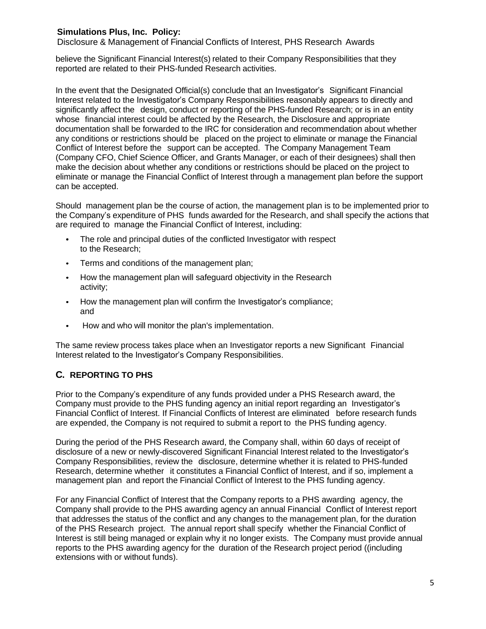Disclosure & Management of Financial Conflicts of Interest, PHS Research Awards

believe the Significant Financial Interest(s) related to their Company Responsibilities that they reported are related to their PHS-funded Research activities.

In the event that the Designated Official(s) conclude that an Investigator's Significant Financial Interest related to the Investigator's Company Responsibilities reasonably appears to directly and significantly affect the design, conduct or reporting of the PHS-funded Research; or is in an entity whose financial interest could be affected by the Research, the Disclosure and appropriate documentation shall be forwarded to the IRC for consideration and recommendation about whether any conditions or restrictions should be placed on the project to eliminate or manage the Financial Conflict of Interest before the support can be accepted. The Company Management Team (Company CFO, Chief Science Officer, and Grants Manager, or each of their designees) shall then make the decision about whether any conditions or restrictions should be placed on the project to eliminate or manage the Financial Conflict of Interest through a management plan before the support can be accepted.

Should management plan be the course of action, the management plan is to be implemented prior to the Company's expenditure of PHS funds awarded for the Research, and shall specify the actions that are required to manage the Financial Conflict of Interest, including:

- The role and principal duties of the conflicted Investigator with respect to the Research;
- Terms and conditions of the management plan;
- How the management plan will safeguard objectivity in the Research activity;
- How the management plan will confirm the Investigator's compliance; and
- $\bullet$ How and who will monitor the plan's implementation.

The same review process takes place when an Investigator reports a new Significant Financial Interest related to the Investigator's Company Responsibilities.

# **C. REPORTING TO PHS**

Prior to the Company's expenditure of any funds provided under a PHS Research award, the Company must provide to the PHS funding agency an initial report regarding an Investigator's Financial Conflict of Interest. If Financial Conflicts of Interest are eliminated before research funds are expended, the Company is not required to submit a report to the PHS funding agency.

During the period of the PHS Research award, the Company shall, within 60 days of receipt of disclosure of a new or newly-discovered Significant Financial Interest related to the Investigator's Company Responsibilities, review the disclosure, determine whether it is related to PHS-funded Research, determine whether it constitutes a Financial Conflict of Interest, and if so, implement a management plan and report the Financial Conflict of Interest to the PHS funding agency.

For any Financial Conflict of Interest that the Company reports to a PHS awarding agency, the Company shall provide to the PHS awarding agency an annual Financial Conflict of Interest report that addresses the status of the conflict and any changes to the management plan, for the duration of the PHS Research project. The annual report shall specify whether the Financial Conflict of Interest is still being managed or explain why it no longer exists. The Company must provide annual reports to the PHS awarding agency for the duration of the Research project period ((including extensions with or without funds).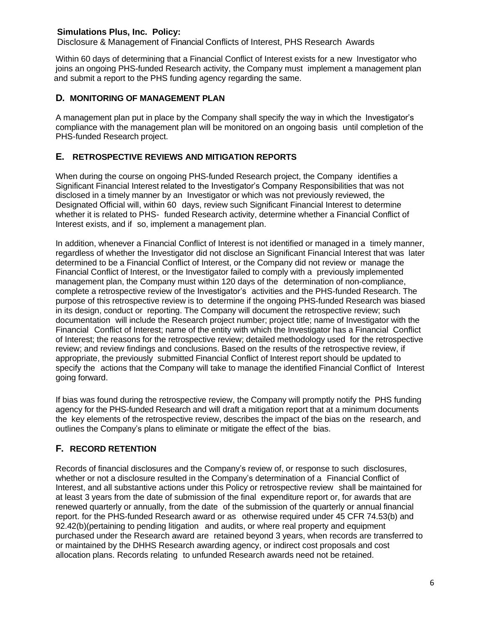Disclosure & Management of Financial Conflicts of Interest, PHS Research Awards

Within 60 days of determining that a Financial Conflict of Interest exists for a new Investigator who joins an ongoing PHS-funded Research activity, the Company must implement a management plan and submit a report to the PHS funding agency regarding the same.

## **D. MONITORING OF MANAGEMENT PLAN**

A management plan put in place by the Company shall specify the way in which the Investigator's compliance with the management plan will be monitored on an ongoing basis until completion of the PHS-funded Research project.

## **E. RETROSPECTIVE REVIEWS AND MITIGATION REPORTS**

When during the course on ongoing PHS-funded Research project, the Company identifies a Significant Financial Interest related to the Investigator's Company Responsibilities that was not disclosed in a timely manner by an Investigator or which was not previously reviewed, the Designated Official will, within 60 days, review such Significant Financial Interest to determine whether it is related to PHS- funded Research activity, determine whether a Financial Conflict of Interest exists, and if so, implement a management plan.

In addition, whenever a Financial Conflict of Interest is not identified or managed in a timely manner, regardless of whether the Investigator did not disclose an Significant Financial Interest that was later determined to be a Financial Conflict of Interest, or the Company did not review or manage the Financial Conflict of Interest, or the Investigator failed to comply with a previously implemented management plan, the Company must within 120 days of the determination of non-compliance, complete a retrospective review of the Investigator's activities and the PHS-funded Research. The purpose of this retrospective review is to determine if the ongoing PHS-funded Research was biased in its design, conduct or reporting. The Company will document the retrospective review; such documentation will include the Research project number; project title; name of Investigator with the Financial Conflict of Interest; name of the entity with which the Investigator has a Financial Conflict of Interest; the reasons for the retrospective review; detailed methodology used for the retrospective review; and review findings and conclusions. Based on the results of the retrospective review, if appropriate, the previously submitted Financial Conflict of Interest report should be updated to specify the actions that the Company will take to manage the identified Financial Conflict of Interest going forward.

If bias was found during the retrospective review, the Company will promptly notify the PHS funding agency for the PHS-funded Research and will draft a mitigation report that at a minimum documents the key elements of the retrospective review, describes the impact of the bias on the research, and outlines the Company's plans to eliminate or mitigate the effect of the bias.

# **F. RECORD RETENTION**

Records of financial disclosures and the Company's review of, or response to such disclosures, whether or not a disclosure resulted in the Company's determination of a Financial Conflict of Interest, and all substantive actions under this Policy or retrospective review shall be maintained for at least 3 years from the date of submission of the final expenditure report or, for awards that are renewed quarterly or annually, from the date of the submission of the quarterly or annual financial report. for the PHS-funded Research award or as otherwise required under 45 CFR 74.53(b) and 92.42(b)(pertaining to pending litigation and audits, or where real property and equipment purchased under the Research award are retained beyond 3 years, when records are transferred to or maintained by the DHHS Research awarding agency, or indirect cost proposals and cost allocation plans. Records relating to unfunded Research awards need not be retained.